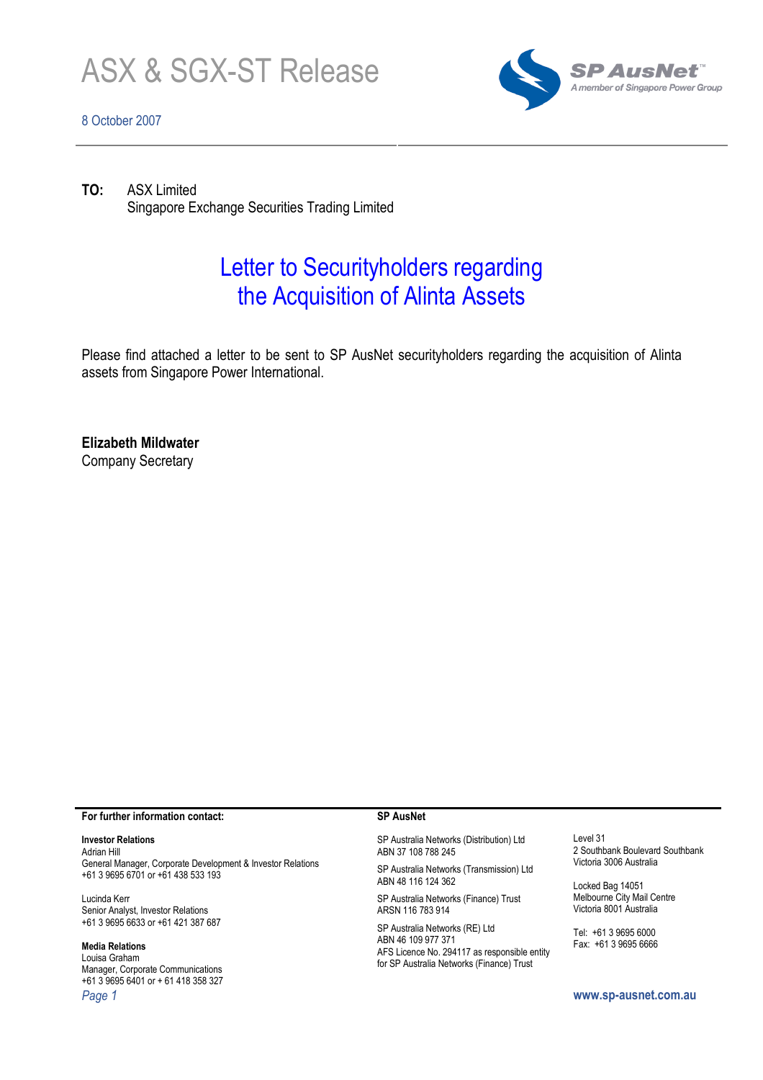

# 8 October 2007



TO: ASX Limited Singapore Exchange Securities Trading Limited

# Letter to Securityholders regarding the Acquisition of Alinta Assets

Please find attached a letter to be sent to SP AusNet securityholders regarding the acquisition of Alinta assets from Singapore Power International.

Elizabeth Mildwater Company Secretary

#### For further information contact:

### Investor Relations

Adrian Hill General Manager, Corporate Development & Investor Relations +61 3 9695 6701 or +61 438 533 193

Lucinda Kerr Senior Analyst, Investor Relations +61 3 9695 6633 or +61 421 387 687

#### Media Relations

Louisa Graham Manager, Corporate Communications +61 3 9695 6401 or + 61 418 358 327 Page 1 www.sp-ausnet.com.au

#### SP AusNet

SP Australia Networks (Distribution) Ltd ABN 37 108 788 245

SP Australia Networks (Transmission) Ltd ABN 48 116 124 362

SP Australia Networks (Finance) Trust ARSN 116 783 914

SP Australia Networks (RE) Ltd ABN 46 109 977 371 AFS Licence No. 294117 as responsible entity for SP Australia Networks (Finance) Trust

Level 31 2 Southbank Boulevard Southbank Victoria 3006 Australia

Locked Bag 14051 Melbourne City Mail Centre Victoria 8001 Australia

Tel: +61 3 9695 6000 Fax: +61 3 9695 6666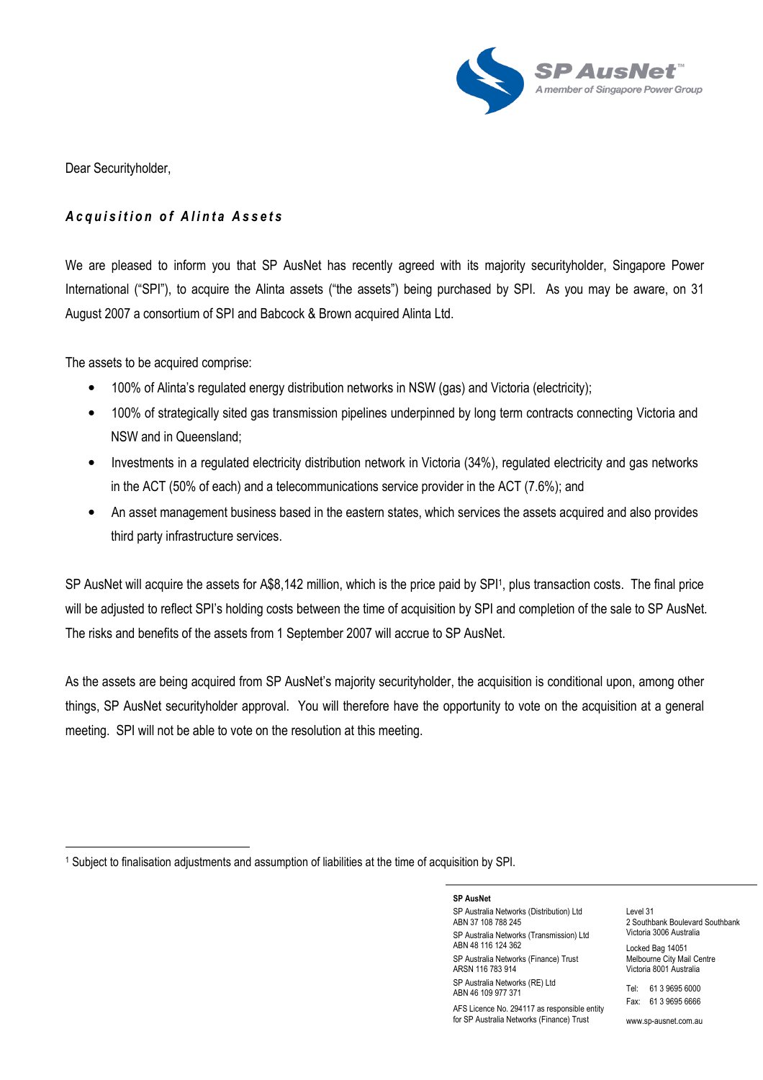

Dear Securityholder,

 $\overline{a}$ 

# Acquisition of Alinta Assets

We are pleased to inform you that SP AusNet has recently agreed with its majority securityholder, Singapore Power International ("SPI"), to acquire the Alinta assets ("the assets") being purchased by SPI. As you may be aware, on 31 August 2007 a consortium of SPI and Babcock & Brown acquired Alinta Ltd.

The assets to be acquired comprise:

- 100% of Alinta's regulated energy distribution networks in NSW (gas) and Victoria (electricity);
- 100% of strategically sited gas transmission pipelines underpinned by long term contracts connecting Victoria and NSW and in Queensland;
- Investments in a regulated electricity distribution network in Victoria (34%), regulated electricity and gas networks in the ACT (50% of each) and a telecommunications service provider in the ACT (7.6%); and
- An asset management business based in the eastern states, which services the assets acquired and also provides third party infrastructure services.

SP AusNet will acquire the assets for A\$8,142 million, which is the price paid by SPI1, plus transaction costs. The final price will be adjusted to reflect SPI's holding costs between the time of acquisition by SPI and completion of the sale to SP AusNet. The risks and benefits of the assets from 1 September 2007 will accrue to SP AusNet.

As the assets are being acquired from SP AusNet's majority securityholder, the acquisition is conditional upon, among other things, SP AusNet securityholder approval. You will therefore have the opportunity to vote on the acquisition at a general meeting. SPI will not be able to vote on the resolution at this meeting.

SP AusNet SP Australia Networks (Distribution) Ltd ABN 37 108 788 245 SP Australia Networks (Transmission) Ltd ABN 48 116 124 362 SP Australia Networks (Finance) Trust ARSN 116 783 914 SP Australia Networks (RE) Ltd

ABN 46 109 977 371

AFS Licence No. 294117 as responsible entity for SP Australia Networks (Finance) Trust

Level 31 2 Southbank Boulevard Southbank Victoria 3006 Australia

Locked Bag 14051 Melbourne City Mail Centre Victoria 8001 Australia

Tel: 61 3 9695 6000 Fax: 61 3 9695 6666

www.sp-ausnet.com.au

<sup>&</sup>lt;sup>1</sup> Subject to finalisation adjustments and assumption of liabilities at the time of acquisition by SPI.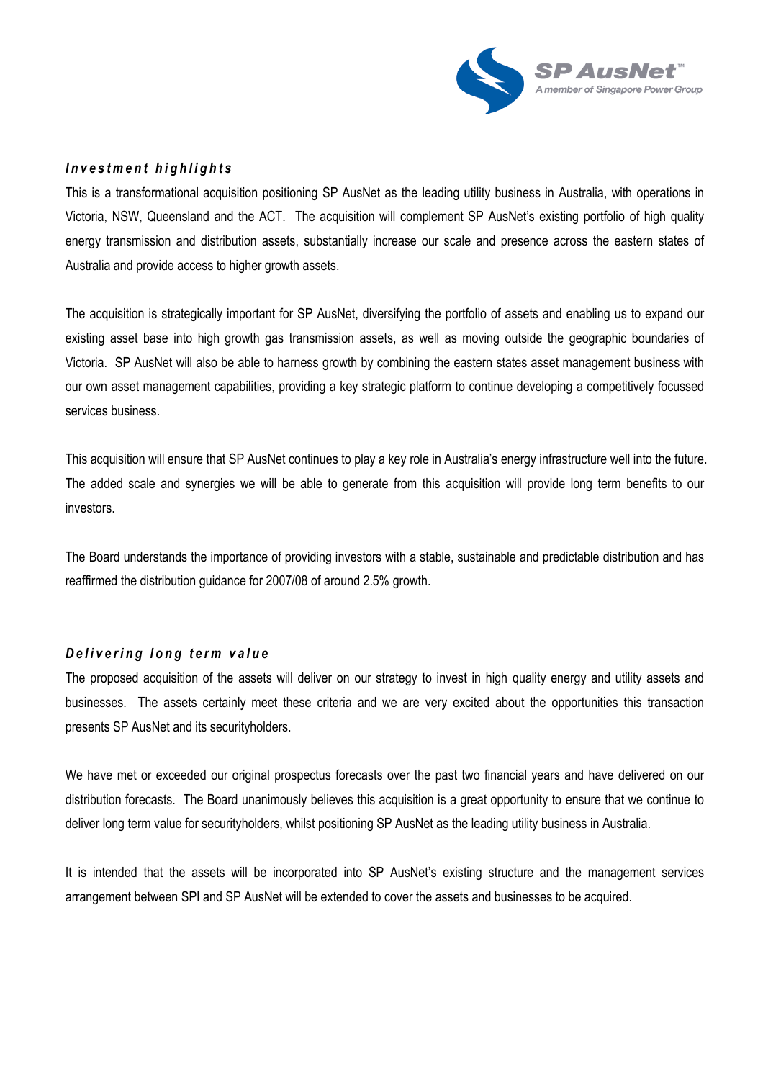

## Investment highlights

This is a transformational acquisition positioning SP AusNet as the leading utility business in Australia, with operations in Victoria, NSW, Queensland and the ACT. The acquisition will complement SP AusNet's existing portfolio of high quality energy transmission and distribution assets, substantially increase our scale and presence across the eastern states of Australia and provide access to higher growth assets.

The acquisition is strategically important for SP AusNet, diversifying the portfolio of assets and enabling us to expand our existing asset base into high growth gas transmission assets, as well as moving outside the geographic boundaries of Victoria. SP AusNet will also be able to harness growth by combining the eastern states asset management business with our own asset management capabilities, providing a key strategic platform to continue developing a competitively focussed services business.

This acquisition will ensure that SP AusNet continues to play a key role in Australia's energy infrastructure well into the future. The added scale and synergies we will be able to generate from this acquisition will provide long term benefits to our investors.

The Board understands the importance of providing investors with a stable, sustainable and predictable distribution and has reaffirmed the distribution guidance for 2007/08 of around 2.5% growth.

## Delivering long term value

The proposed acquisition of the assets will deliver on our strategy to invest in high quality energy and utility assets and businesses. The assets certainly meet these criteria and we are very excited about the opportunities this transaction presents SP AusNet and its securityholders.

We have met or exceeded our original prospectus forecasts over the past two financial years and have delivered on our distribution forecasts. The Board unanimously believes this acquisition is a great opportunity to ensure that we continue to deliver long term value for securityholders, whilst positioning SP AusNet as the leading utility business in Australia.

It is intended that the assets will be incorporated into SP AusNet's existing structure and the management services arrangement between SPI and SP AusNet will be extended to cover the assets and businesses to be acquired.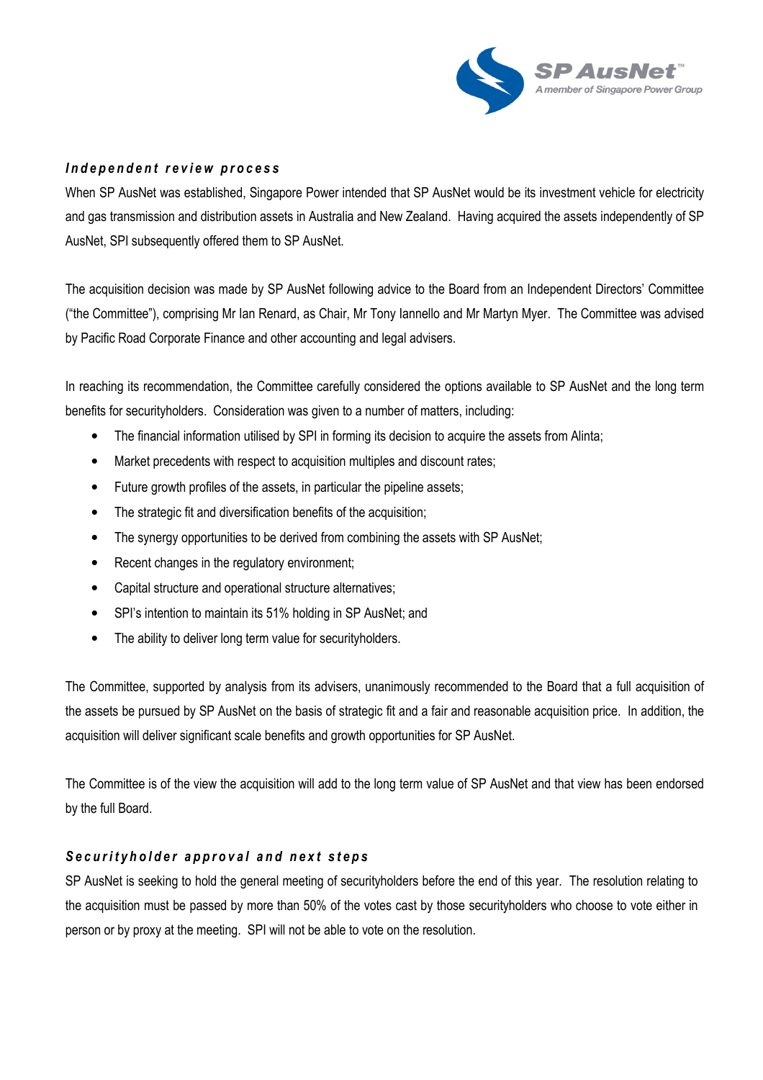

## Independent review process

When SP AusNet was established, Singapore Power intended that SP AusNet would be its investment vehicle for electricity and gas transmission and distribution assets in Australia and New Zealand. Having acquired the assets independently of SP AusNet, SPI subsequently offered them to SP AusNet.

The acquisition decision was made by SP AusNet following advice to the Board from an Independent Directors' Committee ("the Committee"), comprising Mr Ian Renard, as Chair, Mr Tony Iannello and Mr Martyn Myer. The Committee was advised by Pacific Road Corporate Finance and other accounting and legal advisers.

In reaching its recommendation, the Committee carefully considered the options available to SP AusNet and the long term benefits for securityholders. Consideration was given to a number of matters, including:

- The financial information utilised by SPI in forming its decision to acquire the assets from Alinta;
- Market precedents with respect to acquisition multiples and discount rates;
- Future growth profiles of the assets, in particular the pipeline assets;
- The strategic fit and diversification benefits of the acquisition;
- The synergy opportunities to be derived from combining the assets with SP AusNet;
- Recent changes in the regulatory environment;
- Capital structure and operational structure alternatives;
- SPI's intention to maintain its 51% holding in SP AusNet; and
- The ability to deliver long term value for securityholders.

The Committee, supported by analysis from its advisers, unanimously recommended to the Board that a full acquisition of the assets be pursued by SP AusNet on the basis of strategic fit and a fair and reasonable acquisition price. In addition, the acquisition will deliver significant scale benefits and growth opportunities for SP AusNet.

The Committee is of the view the acquisition will add to the long term value of SP AusNet and that view has been endorsed by the full Board.

# Securityholder approval and next steps

SP AusNet is seeking to hold the general meeting of securityholders before the end of this year. The resolution relating to the acquisition must be passed by more than 50% of the votes cast by those securityholders who choose to vote either in person or by proxy at the meeting. SPI will not be able to vote on the resolution.